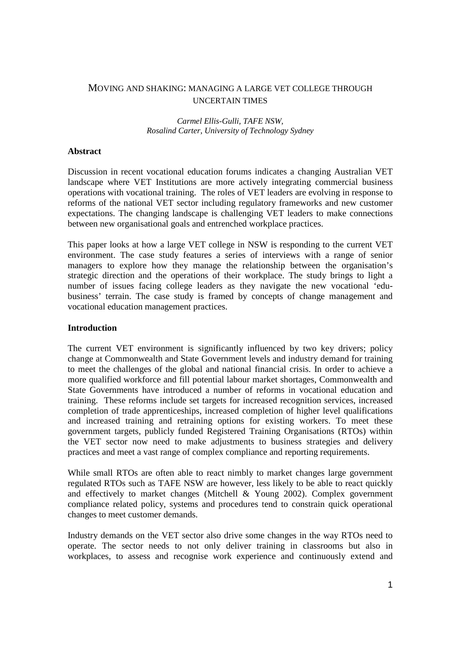# MOVING AND SHAKING: MANAGING A LARGE VET COLLEGE THROUGH UNCERTAIN TIMES

#### *Carmel Ellis-Gulli, TAFE NSW, Rosalind Carter, University of Technology Sydney*

### **Abstract**

Discussion in recent vocational education forums indicates a changing Australian VET landscape where VET Institutions are more actively integrating commercial business operations with vocational training. The roles of VET leaders are evolving in response to reforms of the national VET sector including regulatory frameworks and new customer expectations. The changing landscape is challenging VET leaders to make connections between new organisational goals and entrenched workplace practices.

This paper looks at how a large VET college in NSW is responding to the current VET environment. The case study features a series of interviews with a range of senior managers to explore how they manage the relationship between the organisation's strategic direction and the operations of their workplace. The study brings to light a number of issues facing college leaders as they navigate the new vocational 'edubusiness' terrain. The case study is framed by concepts of change management and vocational education management practices.

#### **Introduction**

The current VET environment is significantly influenced by two key drivers; policy change at Commonwealth and State Government levels and industry demand for training to meet the challenges of the global and national financial crisis. In order to achieve a more qualified workforce and fill potential labour market shortages, Commonwealth and State Governments have introduced a number of reforms in vocational education and training. These reforms include set targets for increased recognition services, increased completion of trade apprenticeships, increased completion of higher level qualifications and increased training and retraining options for existing workers. To meet these government targets, publicly funded Registered Training Organisations (RTOs) within the VET sector now need to make adjustments to business strategies and delivery practices and meet a vast range of complex compliance and reporting requirements.

While small RTOs are often able to react nimbly to market changes large government regulated RTOs such as TAFE NSW are however, less likely to be able to react quickly and effectively to market changes (Mitchell & Young 2002). Complex government compliance related policy, systems and procedures tend to constrain quick operational changes to meet customer demands.

Industry demands on the VET sector also drive some changes in the way RTOs need to operate. The sector needs to not only deliver training in classrooms but also in workplaces, to assess and recognise work experience and continuously extend and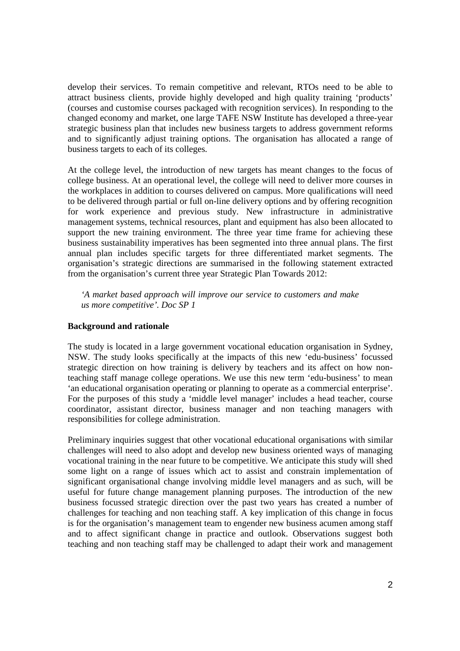develop their services. To remain competitive and relevant, RTOs need to be able to attract business clients, provide highly developed and high quality training 'products' (courses and customise courses packaged with recognition services). In responding to the changed economy and market, one large TAFE NSW Institute has developed a three-year strategic business plan that includes new business targets to address government reforms and to significantly adjust training options. The organisation has allocated a range of business targets to each of its colleges.

At the college level, the introduction of new targets has meant changes to the focus of college business. At an operational level, the college will need to deliver more courses in the workplaces in addition to courses delivered on campus. More qualifications will need to be delivered through partial or full on-line delivery options and by offering recognition for work experience and previous study. New infrastructure in administrative management systems, technical resources, plant and equipment has also been allocated to support the new training environment. The three year time frame for achieving these business sustainability imperatives has been segmented into three annual plans. The first annual plan includes specific targets for three differentiated market segments. The organisation's strategic directions are summarised in the following statement extracted from the organisation's current three year Strategic Plan Towards 2012:

*'A market based approach will improve our service to customers and make us more competitive'. Doc SP 1* 

### **Background and rationale**

The study is located in a large government vocational education organisation in Sydney, NSW. The study looks specifically at the impacts of this new 'edu-business' focussed strategic direction on how training is delivery by teachers and its affect on how nonteaching staff manage college operations. We use this new term 'edu-business' to mean 'an educational organisation operating or planning to operate as a commercial enterprise'. For the purposes of this study a 'middle level manager' includes a head teacher, course coordinator, assistant director, business manager and non teaching managers with responsibilities for college administration.

Preliminary inquiries suggest that other vocational educational organisations with similar challenges will need to also adopt and develop new business oriented ways of managing vocational training in the near future to be competitive. We anticipate this study will shed some light on a range of issues which act to assist and constrain implementation of significant organisational change involving middle level managers and as such, will be useful for future change management planning purposes. The introduction of the new business focussed strategic direction over the past two years has created a number of challenges for teaching and non teaching staff. A key implication of this change in focus is for the organisation's management team to engender new business acumen among staff and to affect significant change in practice and outlook. Observations suggest both teaching and non teaching staff may be challenged to adapt their work and management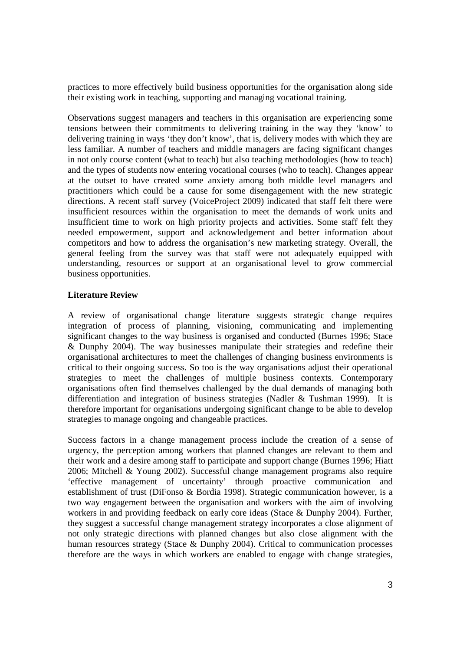practices to more effectively build business opportunities for the organisation along side their existing work in teaching, supporting and managing vocational training.

Observations suggest managers and teachers in this organisation are experiencing some tensions between their commitments to delivering training in the way they 'know' to delivering training in ways 'they don't know', that is, delivery modes with which they are less familiar. A number of teachers and middle managers are facing significant changes in not only course content (what to teach) but also teaching methodologies (how to teach) and the types of students now entering vocational courses (who to teach). Changes appear at the outset to have created some anxiety among both middle level managers and practitioners which could be a cause for some disengagement with the new strategic directions. A recent staff survey (VoiceProject 2009) indicated that staff felt there were insufficient resources within the organisation to meet the demands of work units and insufficient time to work on high priority projects and activities. Some staff felt they needed empowerment, support and acknowledgement and better information about competitors and how to address the organisation's new marketing strategy. Overall, the general feeling from the survey was that staff were not adequately equipped with understanding, resources or support at an organisational level to grow commercial business opportunities.

# **Literature Review**

A review of organisational change literature suggests strategic change requires integration of process of planning, visioning, communicating and implementing significant changes to the way business is organised and conducted (Burnes 1996; Stace & Dunphy 2004). The way businesses manipulate their strategies and redefine their organisational architectures to meet the challenges of changing business environments is critical to their ongoing success. So too is the way organisations adjust their operational strategies to meet the challenges of multiple business contexts. Contemporary organisations often find themselves challenged by the dual demands of managing both differentiation and integration of business strategies (Nadler & Tushman 1999). It is therefore important for organisations undergoing significant change to be able to develop strategies to manage ongoing and changeable practices.

Success factors in a change management process include the creation of a sense of urgency, the perception among workers that planned changes are relevant to them and their work and a desire among staff to participate and support change (Burnes 1996; Hiatt 2006; Mitchell & Young 2002). Successful change management programs also require 'effective management of uncertainty' through proactive communication and establishment of trust (DiFonso & Bordia 1998). Strategic communication however, is a two way engagement between the organisation and workers with the aim of involving workers in and providing feedback on early core ideas (Stace & Dunphy 2004). Further, they suggest a successful change management strategy incorporates a close alignment of not only strategic directions with planned changes but also close alignment with the human resources strategy (Stace & Dunphy 2004). Critical to communication processes therefore are the ways in which workers are enabled to engage with change strategies,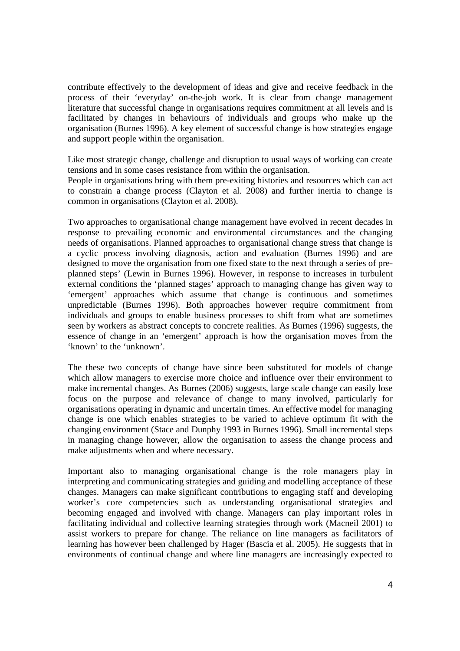contribute effectively to the development of ideas and give and receive feedback in the process of their 'everyday' on-the-job work. It is clear from change management literature that successful change in organisations requires commitment at all levels and is facilitated by changes in behaviours of individuals and groups who make up the organisation (Burnes 1996). A key element of successful change is how strategies engage and support people within the organisation.

Like most strategic change, challenge and disruption to usual ways of working can create tensions and in some cases resistance from within the organisation.

People in organisations bring with them pre-exiting histories and resources which can act to constrain a change process (Clayton et al. 2008) and further inertia to change is common in organisations (Clayton et al. 2008).

Two approaches to organisational change management have evolved in recent decades in response to prevailing economic and environmental circumstances and the changing needs of organisations. Planned approaches to organisational change stress that change is a cyclic process involving diagnosis, action and evaluation (Burnes 1996) and are designed to move the organisation from one fixed state to the next through a series of preplanned steps' (Lewin in Burnes 1996). However, in response to increases in turbulent external conditions the 'planned stages' approach to managing change has given way to 'emergent' approaches which assume that change is continuous and sometimes unpredictable (Burnes 1996). Both approaches however require commitment from individuals and groups to enable business processes to shift from what are sometimes seen by workers as abstract concepts to concrete realities. As Burnes (1996) suggests, the essence of change in an 'emergent' approach is how the organisation moves from the 'known' to the 'unknown'.

The these two concepts of change have since been substituted for models of change which allow managers to exercise more choice and influence over their environment to make incremental changes. As Burnes (2006) suggests, large scale change can easily lose focus on the purpose and relevance of change to many involved, particularly for organisations operating in dynamic and uncertain times. An effective model for managing change is one which enables strategies to be varied to achieve optimum fit with the changing environment (Stace and Dunphy 1993 in Burnes 1996). Small incremental steps in managing change however, allow the organisation to assess the change process and make adjustments when and where necessary.

Important also to managing organisational change is the role managers play in interpreting and communicating strategies and guiding and modelling acceptance of these changes. Managers can make significant contributions to engaging staff and developing worker's core competencies such as understanding organisational strategies and becoming engaged and involved with change. Managers can play important roles in facilitating individual and collective learning strategies through work (Macneil 2001) to assist workers to prepare for change. The reliance on line managers as facilitators of learning has however been challenged by Hager (Bascia et al. 2005). He suggests that in environments of continual change and where line managers are increasingly expected to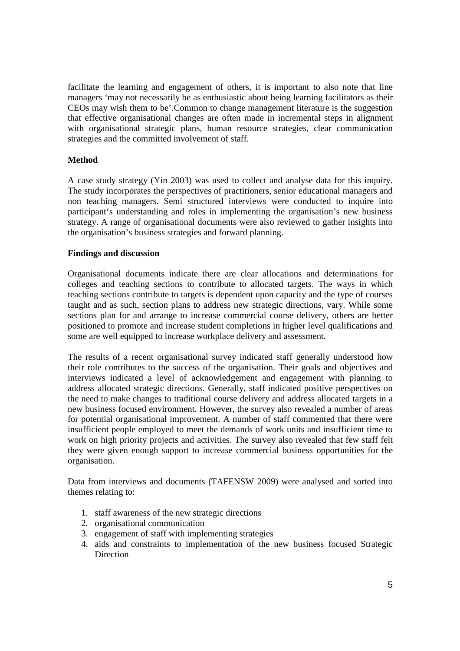facilitate the learning and engagement of others, it is important to also note that line managers 'may not necessarily be as enthusiastic about being learning facilitators as their CEOs may wish them to be'.Common to change management literature is the suggestion that effective organisational changes are often made in incremental steps in alignment with organisational strategic plans, human resource strategies, clear communication strategies and the committed involvement of staff.

# **Method**

A case study strategy (Yin 2003) was used to collect and analyse data for this inquiry. The study incorporates the perspectives of practitioners, senior educational managers and non teaching managers. Semi structured interviews were conducted to inquire into participant's understanding and roles in implementing the organisation's new business strategy. A range of organisational documents were also reviewed to gather insights into the organisation's business strategies and forward planning.

# **Findings and discussion**

Organisational documents indicate there are clear allocations and determinations for colleges and teaching sections to contribute to allocated targets. The ways in which teaching sections contribute to targets is dependent upon capacity and the type of courses taught and as such, section plans to address new strategic directions, vary. While some sections plan for and arrange to increase commercial course delivery, others are better positioned to promote and increase student completions in higher level qualifications and some are well equipped to increase workplace delivery and assessment.

The results of a recent organisational survey indicated staff generally understood how their role contributes to the success of the organisation. Their goals and objectives and interviews indicated a level of acknowledgement and engagement with planning to address allocated strategic directions. Generally, staff indicated positive perspectives on the need to make changes to traditional course delivery and address allocated targets in a new business focused environment. However, the survey also revealed a number of areas for potential organisational improvement. A number of staff commented that there were insufficient people employed to meet the demands of work units and insufficient time to work on high priority projects and activities. The survey also revealed that few staff felt they were given enough support to increase commercial business opportunities for the organisation.

Data from interviews and documents (TAFENSW 2009) were analysed and sorted into themes relating to:

- 1. staff awareness of the new strategic directions
- 2. organisational communication
- 3. engagement of staff with implementing strategies
- 4. aids and constraints to implementation of the new business focused Strategic **Direction**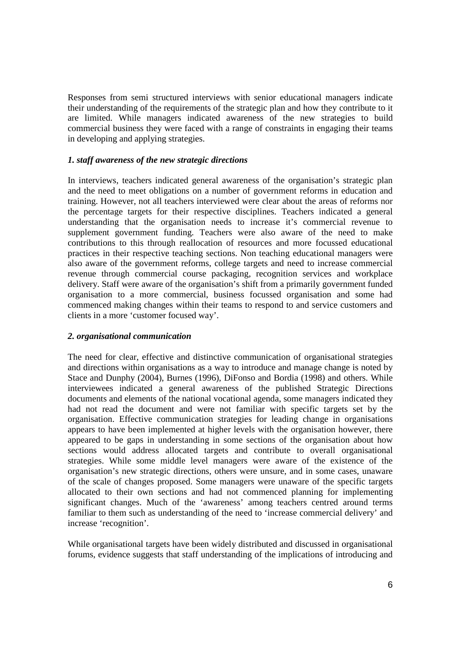Responses from semi structured interviews with senior educational managers indicate their understanding of the requirements of the strategic plan and how they contribute to it are limited. While managers indicated awareness of the new strategies to build commercial business they were faced with a range of constraints in engaging their teams in developing and applying strategies.

### *1. staff awareness of the new strategic directions*

In interviews, teachers indicated general awareness of the organisation's strategic plan and the need to meet obligations on a number of government reforms in education and training. However, not all teachers interviewed were clear about the areas of reforms nor the percentage targets for their respective disciplines. Teachers indicated a general understanding that the organisation needs to increase it's commercial revenue to supplement government funding. Teachers were also aware of the need to make contributions to this through reallocation of resources and more focussed educational practices in their respective teaching sections. Non teaching educational managers were also aware of the government reforms, college targets and need to increase commercial revenue through commercial course packaging, recognition services and workplace delivery. Staff were aware of the organisation's shift from a primarily government funded organisation to a more commercial, business focussed organisation and some had commenced making changes within their teams to respond to and service customers and clients in a more 'customer focused way'.

### *2. organisational communication*

The need for clear, effective and distinctive communication of organisational strategies and directions within organisations as a way to introduce and manage change is noted by Stace and Dunphy (2004), Burnes (1996), DiFonso and Bordia (1998) and others. While interviewees indicated a general awareness of the published Strategic Directions documents and elements of the national vocational agenda, some managers indicated they had not read the document and were not familiar with specific targets set by the organisation. Effective communication strategies for leading change in organisations appears to have been implemented at higher levels with the organisation however, there appeared to be gaps in understanding in some sections of the organisation about how sections would address allocated targets and contribute to overall organisational strategies. While some middle level managers were aware of the existence of the organisation's new strategic directions, others were unsure, and in some cases, unaware of the scale of changes proposed. Some managers were unaware of the specific targets allocated to their own sections and had not commenced planning for implementing significant changes. Much of the 'awareness' among teachers centred around terms familiar to them such as understanding of the need to 'increase commercial delivery' and increase 'recognition'.

While organisational targets have been widely distributed and discussed in organisational forums, evidence suggests that staff understanding of the implications of introducing and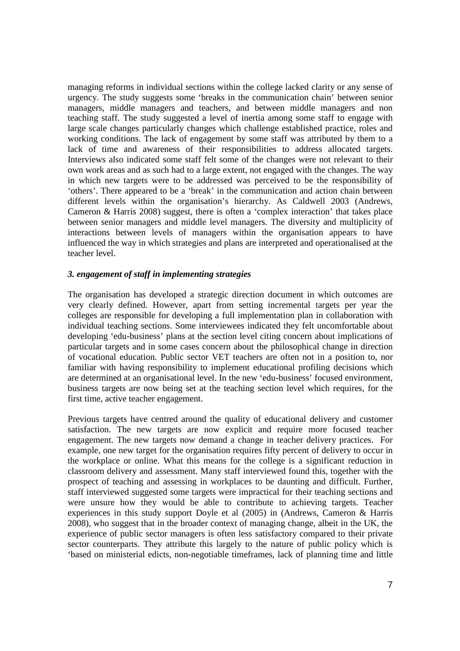managing reforms in individual sections within the college lacked clarity or any sense of urgency. The study suggests some 'breaks in the communication chain' between senior managers, middle managers and teachers, and between middle managers and non teaching staff. The study suggested a level of inertia among some staff to engage with large scale changes particularly changes which challenge established practice, roles and working conditions. The lack of engagement by some staff was attributed by them to a lack of time and awareness of their responsibilities to address allocated targets. Interviews also indicated some staff felt some of the changes were not relevant to their own work areas and as such had to a large extent, not engaged with the changes. The way in which new targets were to be addressed was perceived to be the responsibility of 'others'. There appeared to be a 'break' in the communication and action chain between different levels within the organisation's hierarchy. As Caldwell 2003 (Andrews, Cameron & Harris 2008) suggest, there is often a 'complex interaction' that takes place between senior managers and middle level managers. The diversity and multiplicity of interactions between levels of managers within the organisation appears to have influenced the way in which strategies and plans are interpreted and operationalised at the teacher level.

### *3. engagement of staff in implementing strategies*

The organisation has developed a strategic direction document in which outcomes are very clearly defined. However, apart from setting incremental targets per year the colleges are responsible for developing a full implementation plan in collaboration with individual teaching sections. Some interviewees indicated they felt uncomfortable about developing 'edu-business' plans at the section level citing concern about implications of particular targets and in some cases concern about the philosophical change in direction of vocational education. Public sector VET teachers are often not in a position to, nor familiar with having responsibility to implement educational profiling decisions which are determined at an organisational level. In the new 'edu-business' focused environment, business targets are now being set at the teaching section level which requires, for the first time, active teacher engagement.

Previous targets have centred around the quality of educational delivery and customer satisfaction. The new targets are now explicit and require more focused teacher engagement. The new targets now demand a change in teacher delivery practices. For example, one new target for the organisation requires fifty percent of delivery to occur in the workplace or online. What this means for the college is a significant reduction in classroom delivery and assessment. Many staff interviewed found this, together with the prospect of teaching and assessing in workplaces to be daunting and difficult. Further, staff interviewed suggested some targets were impractical for their teaching sections and were unsure how they would be able to contribute to achieving targets. Teacher experiences in this study support Doyle et al (2005) in (Andrews, Cameron & Harris 2008), who suggest that in the broader context of managing change, albeit in the UK, the experience of public sector managers is often less satisfactory compared to their private sector counterparts. They attribute this largely to the nature of public policy which is 'based on ministerial edicts, non-negotiable timeframes, lack of planning time and little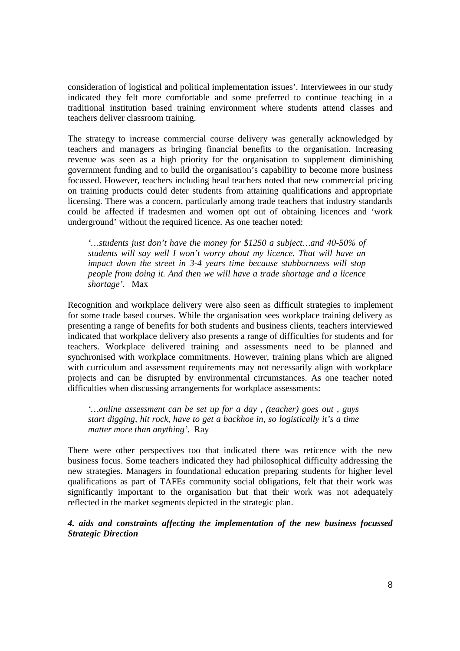consideration of logistical and political implementation issues'. Interviewees in our study indicated they felt more comfortable and some preferred to continue teaching in a traditional institution based training environment where students attend classes and teachers deliver classroom training.

The strategy to increase commercial course delivery was generally acknowledged by teachers and managers as bringing financial benefits to the organisation. Increasing revenue was seen as a high priority for the organisation to supplement diminishing government funding and to build the organisation's capability to become more business focussed. However, teachers including head teachers noted that new commercial pricing on training products could deter students from attaining qualifications and appropriate licensing. There was a concern, particularly among trade teachers that industry standards could be affected if tradesmen and women opt out of obtaining licences and 'work underground' without the required licence. As one teacher noted:

*'…students just don't have the money for \$1250 a subject…and 40-50% of students will say well I won't worry about my licence. That will have an impact down the street in 3-4 years time because stubbornness will stop people from doing it. And then we will have a trade shortage and a licence shortage'.* Max

Recognition and workplace delivery were also seen as difficult strategies to implement for some trade based courses. While the organisation sees workplace training delivery as presenting a range of benefits for both students and business clients, teachers interviewed indicated that workplace delivery also presents a range of difficulties for students and for teachers. Workplace delivered training and assessments need to be planned and synchronised with workplace commitments. However, training plans which are aligned with curriculum and assessment requirements may not necessarily align with workplace projects and can be disrupted by environmental circumstances. As one teacher noted difficulties when discussing arrangements for workplace assessments:

*'…online assessment can be set up for a day , (teacher) goes out , guys start digging, hit rock, have to get a backhoe in, so logistically it's a time matter more than anything'.* Ray

There were other perspectives too that indicated there was reticence with the new business focus. Some teachers indicated they had philosophical difficulty addressing the new strategies. Managers in foundational education preparing students for higher level qualifications as part of TAFEs community social obligations, felt that their work was significantly important to the organisation but that their work was not adequately reflected in the market segments depicted in the strategic plan.

*4. aids and constraints affecting the implementation of the new business focussed Strategic Direction*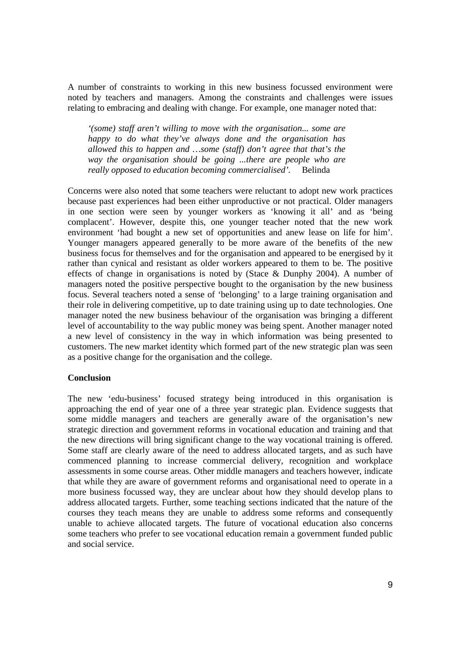A number of constraints to working in this new business focussed environment were noted by teachers and managers. Among the constraints and challenges were issues relating to embracing and dealing with change. For example, one manager noted that:

*'(some) staff aren't willing to move with the organisation... some are happy to do what they've always done and the organisation has allowed this to happen and …some (staff) don't agree that that's the way the organisation should be going ...there are people who are really opposed to education becoming commercialised'.* Belinda

Concerns were also noted that some teachers were reluctant to adopt new work practices because past experiences had been either unproductive or not practical. Older managers in one section were seen by younger workers as 'knowing it all' and as 'being complacent'. However, despite this, one younger teacher noted that the new work environment 'had bought a new set of opportunities and anew lease on life for him'. Younger managers appeared generally to be more aware of the benefits of the new business focus for themselves and for the organisation and appeared to be energised by it rather than cynical and resistant as older workers appeared to them to be. The positive effects of change in organisations is noted by (Stace & Dunphy 2004). A number of managers noted the positive perspective bought to the organisation by the new business focus. Several teachers noted a sense of 'belonging' to a large training organisation and their role in delivering competitive, up to date training using up to date technologies. One manager noted the new business behaviour of the organisation was bringing a different level of accountability to the way public money was being spent. Another manager noted a new level of consistency in the way in which information was being presented to customers. The new market identity which formed part of the new strategic plan was seen as a positive change for the organisation and the college.

### **Conclusion**

The new 'edu-business' focused strategy being introduced in this organisation is approaching the end of year one of a three year strategic plan. Evidence suggests that some middle managers and teachers are generally aware of the organisation's new strategic direction and government reforms in vocational education and training and that the new directions will bring significant change to the way vocational training is offered. Some staff are clearly aware of the need to address allocated targets, and as such have commenced planning to increase commercial delivery, recognition and workplace assessments in some course areas. Other middle managers and teachers however, indicate that while they are aware of government reforms and organisational need to operate in a more business focussed way, they are unclear about how they should develop plans to address allocated targets. Further, some teaching sections indicated that the nature of the courses they teach means they are unable to address some reforms and consequently unable to achieve allocated targets. The future of vocational education also concerns some teachers who prefer to see vocational education remain a government funded public and social service.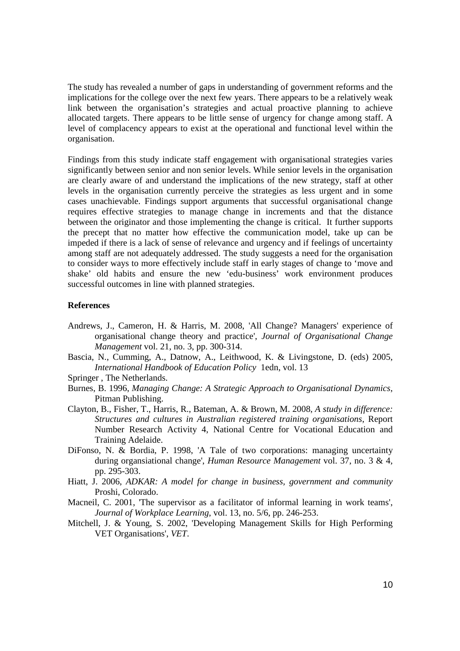The study has revealed a number of gaps in understanding of government reforms and the implications for the college over the next few years. There appears to be a relatively weak link between the organisation's strategies and actual proactive planning to achieve allocated targets. There appears to be little sense of urgency for change among staff. A level of complacency appears to exist at the operational and functional level within the organisation.

Findings from this study indicate staff engagement with organisational strategies varies significantly between senior and non senior levels. While senior levels in the organisation are clearly aware of and understand the implications of the new strategy, staff at other levels in the organisation currently perceive the strategies as less urgent and in some cases unachievable. Findings support arguments that successful organisational change requires effective strategies to manage change in increments and that the distance between the originator and those implementing the change is critical. It further supports the precept that no matter how effective the communication model, take up can be impeded if there is a lack of sense of relevance and urgency and if feelings of uncertainty among staff are not adequately addressed. The study suggests a need for the organisation to consider ways to more effectively include staff in early stages of change to 'move and shake' old habits and ensure the new 'edu-business' work environment produces successful outcomes in line with planned strategies.

#### **References**

Andrews, J., Cameron, H. & Harris, M. 2008, 'All Change? Managers' experience of organisational change theory and practice', *Journal of Organisational Change Management* vol. 21, no. 3, pp. 300-314.

Bascia, N., Cumming, A., Datnow, A., Leithwood, K. & Livingstone, D. (eds) 2005, *International Handbook of Education Policy* 1edn, vol. 13

- Springer , The Netherlands.
- Burnes, B. 1996, *Managing Change: A Strategic Approach to Organisational Dynamics*, Pitman Publishing.
- Clayton, B., Fisher, T., Harris, R., Bateman, A. & Brown, M. 2008, *A study in difference: Structures and cultures in Australian registered training organisations*, Report Number Research Activity 4, National Centre for Vocational Education and Training Adelaide.
- DiFonso, N. & Bordia, P. 1998, 'A Tale of two corporations: managing uncertainty during organsiational change', *Human Resource Management* vol. 37, no. 3 & 4, pp. 295-303.
- Hiatt, J. 2006, *ADKAR: A model for change in business, government and community*  Proshi, Colorado.
- Macneil, C. 2001, 'The supervisor as a facilitator of informal learning in work teams', *Journal of Workplace Learning*, vol. 13, no. 5/6, pp. 246-253.
- Mitchell, J. & Young, S. 2002, 'Developing Management Skills for High Performing VET Organisations', *VET*.